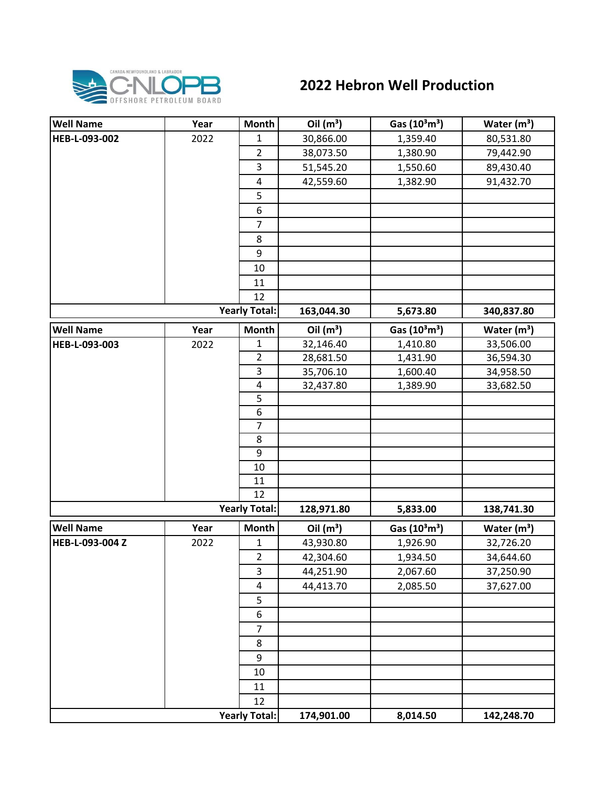

## **2022 Hebron Well Production**

| <b>Well Name</b> | Year | <b>Month</b>         | Oil $(m^3)$ | Gas (10 <sup>3</sup> m <sup>3</sup> ) | Water $(m^3)$ |
|------------------|------|----------------------|-------------|---------------------------------------|---------------|
| HEB-L-093-002    | 2022 | 1                    | 30,866.00   | 1,359.40                              | 80,531.80     |
|                  |      | $\overline{2}$       | 38,073.50   | 1,380.90                              | 79,442.90     |
|                  |      | 3                    | 51,545.20   | 1,550.60                              | 89,430.40     |
|                  |      | 4                    | 42,559.60   | 1,382.90                              | 91,432.70     |
|                  |      | 5                    |             |                                       |               |
|                  |      | 6                    |             |                                       |               |
|                  |      | $\overline{7}$       |             |                                       |               |
|                  |      | 8                    |             |                                       |               |
|                  |      | 9                    |             |                                       |               |
|                  |      | 10                   |             |                                       |               |
|                  |      | 11                   |             |                                       |               |
|                  |      | 12                   |             |                                       |               |
|                  |      | <b>Yearly Total:</b> | 163,044.30  | 5,673.80                              | 340,837.80    |
| <b>Well Name</b> | Year | <b>Month</b>         | Oil $(m^3)$ | Gas (10 <sup>3</sup> m <sup>3</sup> ) | Water $(m^3)$ |
| HEB-L-093-003    | 2022 | $\mathbf{1}$         | 32,146.40   | 1,410.80                              | 33,506.00     |
|                  |      | $\overline{2}$       | 28,681.50   | 1,431.90                              | 36,594.30     |
|                  |      | 3                    | 35,706.10   | 1,600.40                              | 34,958.50     |
|                  |      | 4                    | 32,437.80   | 1,389.90                              | 33,682.50     |
|                  |      | $\overline{5}$       |             |                                       |               |
|                  |      | 6                    |             |                                       |               |
|                  |      | $\overline{7}$       |             |                                       |               |
|                  |      | 8                    |             |                                       |               |
|                  |      | 9                    |             |                                       |               |
|                  |      | 10                   |             |                                       |               |
|                  |      | 11                   |             |                                       |               |
|                  |      | 12                   |             |                                       |               |
|                  |      | <b>Yearly Total:</b> | 128,971.80  | 5,833.00                              | 138,741.30    |
| <b>Well Name</b> | Year | <b>Month</b>         | Oil $(m^3)$ | Gas (10 <sup>3</sup> m <sup>3</sup> ) | Water $(m^3)$ |
| HEB-L-093-004 Z  | 2022 | $\mathbf{1}$         | 43,930.80   | 1,926.90                              | 32,726.20     |
|                  |      | $\overline{2}$       | 42,304.60   | 1,934.50                              | 34,644.60     |
|                  |      | 3                    | 44,251.90   | 2,067.60                              | 37,250.90     |
|                  |      | 4                    | 44,413.70   | 2,085.50                              | 37,627.00     |
|                  |      | 5                    |             |                                       |               |
|                  |      | 6                    |             |                                       |               |
|                  |      | $\overline{7}$       |             |                                       |               |
|                  |      | 8                    |             |                                       |               |
|                  |      | 9                    |             |                                       |               |
|                  |      | 10                   |             |                                       |               |
|                  |      | 11                   |             |                                       |               |
|                  |      | 12                   |             |                                       |               |
|                  |      | <b>Yearly Total:</b> | 174,901.00  | 8,014.50                              | 142,248.70    |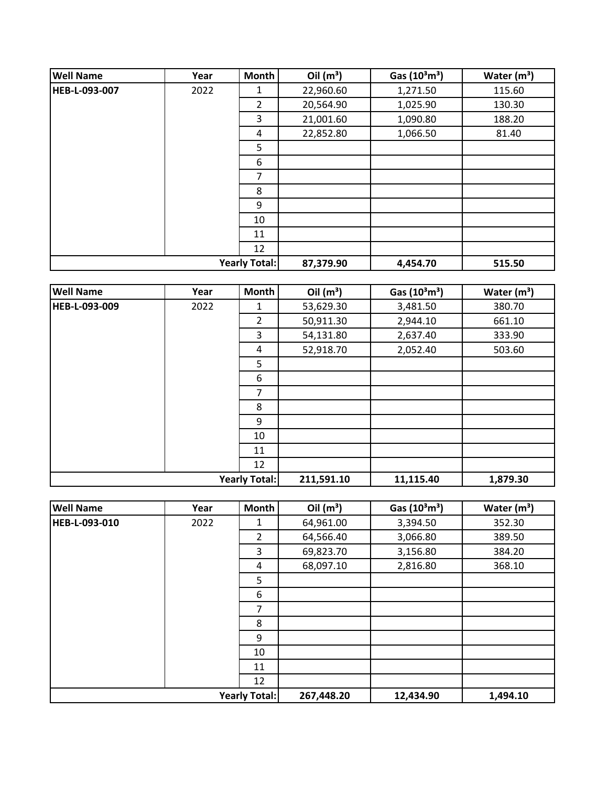| <b>Well Name</b> | Year | <b>Month</b>         | Oil $(m^3)$ | Gas $(10^3 \text{m}^3)$ | Water $(m^3)$ |
|------------------|------|----------------------|-------------|-------------------------|---------------|
| HEB-L-093-007    | 2022 | 1                    | 22,960.60   | 1,271.50                | 115.60        |
|                  |      | 2                    | 20,564.90   | 1,025.90                | 130.30        |
|                  |      | 3                    | 21,001.60   | 1,090.80                | 188.20        |
|                  |      | 4                    | 22,852.80   | 1,066.50                | 81.40         |
|                  |      | 5                    |             |                         |               |
|                  |      | 6                    |             |                         |               |
|                  |      | 7                    |             |                         |               |
|                  |      | 8                    |             |                         |               |
|                  |      | 9                    |             |                         |               |
|                  |      | 10                   |             |                         |               |
|                  |      | 11                   |             |                         |               |
|                  |      | 12                   |             |                         |               |
|                  |      | <b>Yearly Total:</b> | 87,379.90   | 4,454.70                | 515.50        |

| <b>Well Name</b>     | Year | Month | Oil $(m^3)$ | Gas $(10^3 \text{m}^3)$ | Water $(m^3)$ |
|----------------------|------|-------|-------------|-------------------------|---------------|
| HEB-L-093-009        | 2022 | 1     | 53,629.30   | 3,481.50                | 380.70        |
|                      |      | 2     | 50,911.30   | 2,944.10                | 661.10        |
|                      |      | 3     | 54,131.80   | 2,637.40                | 333.90        |
|                      |      | 4     | 52,918.70   | 2,052.40                | 503.60        |
|                      |      | 5     |             |                         |               |
|                      |      | 6     |             |                         |               |
|                      |      | 7     |             |                         |               |
|                      |      | 8     |             |                         |               |
|                      |      | 9     |             |                         |               |
|                      |      | 10    |             |                         |               |
|                      |      | 11    |             |                         |               |
|                      |      | 12    |             |                         |               |
| <b>Yearly Total:</b> |      |       | 211,591.10  | 11,115.40               | 1,879.30      |

| <b>Well Name</b>     | Year | Month                | Oil $(m^3)$ | Gas $(10^3 \text{m}^3)$ | Water $(m^3)$ |
|----------------------|------|----------------------|-------------|-------------------------|---------------|
| <b>HEB-L-093-010</b> | 2022 | 1                    | 64,961.00   | 3,394.50                | 352.30        |
|                      |      | $\overline{2}$       | 64,566.40   | 3,066.80                | 389.50        |
|                      |      | 3                    | 69,823.70   | 3,156.80                | 384.20        |
|                      |      | 4                    | 68,097.10   | 2,816.80                | 368.10        |
|                      |      | 5                    |             |                         |               |
|                      |      | 6                    |             |                         |               |
|                      |      | 7                    |             |                         |               |
|                      |      | 8                    |             |                         |               |
|                      |      | 9                    |             |                         |               |
|                      |      | 10                   |             |                         |               |
|                      |      | 11                   |             |                         |               |
|                      |      | 12                   |             |                         |               |
|                      |      | <b>Yearly Total:</b> | 267,448.20  | 12,434.90               | 1,494.10      |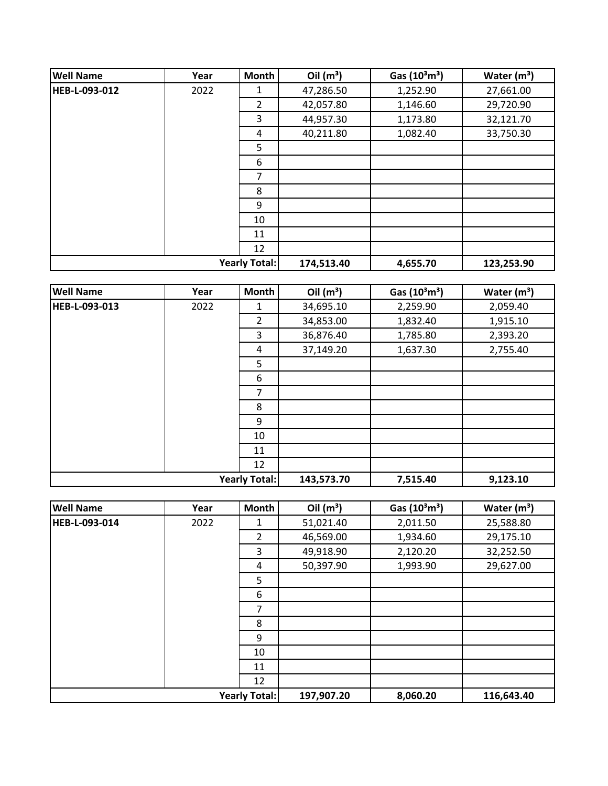| <b>Well Name</b> | Year | <b>Month</b>         | Oil $(m^3)$ | Gas $(10^3 \text{m}^3)$ | Water $(m^3)$ |
|------------------|------|----------------------|-------------|-------------------------|---------------|
| HEB-L-093-012    | 2022 | 1                    | 47,286.50   | 1,252.90                | 27,661.00     |
|                  |      | $\overline{2}$       | 42,057.80   | 1,146.60                | 29,720.90     |
|                  |      | 3                    | 44,957.30   | 1,173.80                | 32,121.70     |
|                  |      | 4                    | 40,211.80   | 1,082.40                | 33,750.30     |
|                  |      | 5                    |             |                         |               |
|                  |      | 6                    |             |                         |               |
|                  |      | 7                    |             |                         |               |
|                  |      | 8                    |             |                         |               |
|                  |      | 9                    |             |                         |               |
|                  |      | 10                   |             |                         |               |
|                  |      | 11                   |             |                         |               |
|                  |      | 12                   |             |                         |               |
|                  |      | <b>Yearly Total:</b> | 174,513.40  | 4,655.70                | 123,253.90    |

| <b>Well Name</b>     | Year | <b>Month</b> | Oil $(m^3)$ | Gas $(10^3 \text{m}^3)$ | Water $(m^3)$ |
|----------------------|------|--------------|-------------|-------------------------|---------------|
| <b>HEB-L-093-013</b> | 2022 | 1            | 34,695.10   | 2,259.90                | 2,059.40      |
|                      |      | 2            | 34,853.00   | 1,832.40                | 1,915.10      |
|                      |      | 3            | 36,876.40   | 1,785.80                | 2,393.20      |
|                      |      | 4            | 37,149.20   | 1,637.30                | 2,755.40      |
|                      |      | 5            |             |                         |               |
|                      |      | 6            |             |                         |               |
|                      |      | 7            |             |                         |               |
|                      |      | 8            |             |                         |               |
|                      |      | 9            |             |                         |               |
|                      |      | 10           |             |                         |               |
|                      |      | 11           |             |                         |               |
|                      |      | 12           |             |                         |               |
| <b>Yearly Total:</b> |      | 143,573.70   | 7,515.40    | 9,123.10                |               |

| <b>Well Name</b> | Year | Month                | Oil $(m^3)$ | Gas (10 <sup>3</sup> m <sup>3</sup> ) | Water $(m^3)$ |
|------------------|------|----------------------|-------------|---------------------------------------|---------------|
| HEB-L-093-014    | 2022 | 1                    | 51,021.40   | 2,011.50                              | 25,588.80     |
|                  |      | $\overline{2}$       | 46,569.00   | 1,934.60                              | 29,175.10     |
|                  |      | 3                    | 49,918.90   | 2,120.20                              | 32,252.50     |
|                  |      | 4                    | 50,397.90   | 1,993.90                              | 29,627.00     |
|                  |      | 5                    |             |                                       |               |
|                  |      | 6                    |             |                                       |               |
|                  |      | 7                    |             |                                       |               |
|                  |      | 8                    |             |                                       |               |
|                  |      | 9                    |             |                                       |               |
|                  |      | 10                   |             |                                       |               |
|                  |      | 11                   |             |                                       |               |
|                  |      | 12                   |             |                                       |               |
|                  |      | <b>Yearly Total:</b> | 197,907.20  | 8,060.20                              | 116,643.40    |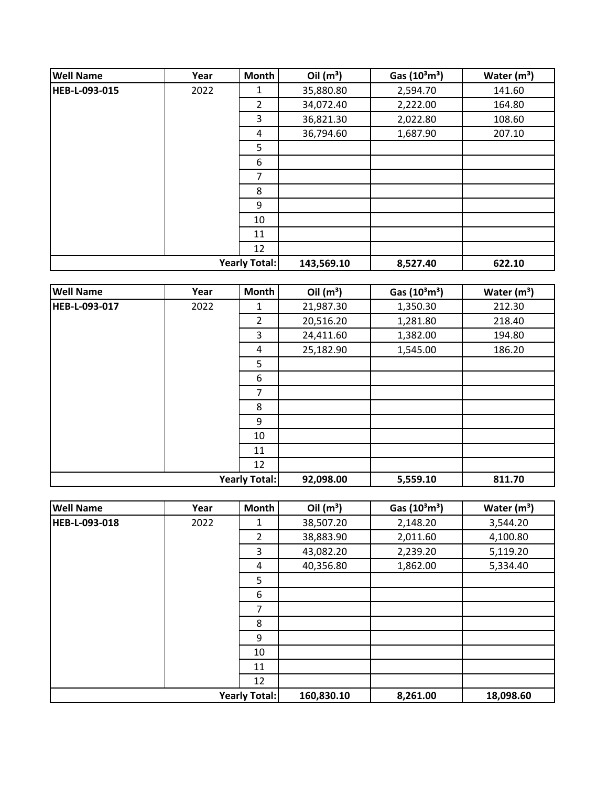| <b>Well Name</b> | Year | <b>Month</b>         | Oil $(m^3)$ | Gas $(10^3 \text{m}^3)$ | Water $(m^3)$ |
|------------------|------|----------------------|-------------|-------------------------|---------------|
| HEB-L-093-015    | 2022 | 1                    | 35,880.80   | 2,594.70                | 141.60        |
|                  |      | 2                    | 34,072.40   | 2,222.00                | 164.80        |
|                  |      | 3                    | 36,821.30   | 2,022.80                | 108.60        |
|                  |      | 4                    | 36,794.60   | 1,687.90                | 207.10        |
|                  |      | 5                    |             |                         |               |
|                  |      | 6                    |             |                         |               |
|                  |      | 7                    |             |                         |               |
|                  |      | 8                    |             |                         |               |
|                  |      | 9                    |             |                         |               |
|                  |      | 10                   |             |                         |               |
|                  |      | 11                   |             |                         |               |
|                  |      | 12                   |             |                         |               |
|                  |      | <b>Yearly Total:</b> | 143,569.10  | 8,527.40                | 622.10        |

| <b>Well Name</b>     | Year | Month          | Oil $(m^3)$ | Gas $(10^3 \text{m}^3)$ | Water $(m^3)$ |
|----------------------|------|----------------|-------------|-------------------------|---------------|
| HEB-L-093-017        | 2022 | 1              | 21,987.30   | 1,350.30                | 212.30        |
|                      |      | $\overline{2}$ | 20,516.20   | 1,281.80                | 218.40        |
|                      |      | 3              | 24,411.60   | 1,382.00                | 194.80        |
|                      |      | 4              | 25,182.90   | 1,545.00                | 186.20        |
|                      |      | 5              |             |                         |               |
|                      |      | 6              |             |                         |               |
|                      |      | 7              |             |                         |               |
|                      |      | 8              |             |                         |               |
|                      |      | 9              |             |                         |               |
|                      |      | 10             |             |                         |               |
|                      |      | 11             |             |                         |               |
|                      |      | 12             |             |                         |               |
| <b>Yearly Total:</b> |      | 92,098.00      | 5,559.10    | 811.70                  |               |

| <b>Well Name</b> | Year                 | Month          | Oil $(m^3)$ | Gas $(10^3 \text{m}^3)$ | Water $(m^3)$ |
|------------------|----------------------|----------------|-------------|-------------------------|---------------|
| HEB-L-093-018    | 2022                 | 1              | 38,507.20   | 2,148.20                | 3,544.20      |
|                  |                      | $\overline{2}$ | 38,883.90   | 2,011.60                | 4,100.80      |
|                  |                      | 3              | 43,082.20   | 2,239.20                | 5,119.20      |
|                  |                      | 4              | 40,356.80   | 1,862.00                | 5,334.40      |
|                  |                      | 5              |             |                         |               |
|                  |                      | 6              |             |                         |               |
|                  |                      | 7              |             |                         |               |
|                  |                      | 8              |             |                         |               |
|                  |                      | 9              |             |                         |               |
|                  |                      | 10             |             |                         |               |
|                  |                      | 11             |             |                         |               |
|                  |                      | 12             |             |                         |               |
|                  | <b>Yearly Total:</b> |                | 160,830.10  | 8,261.00                | 18,098.60     |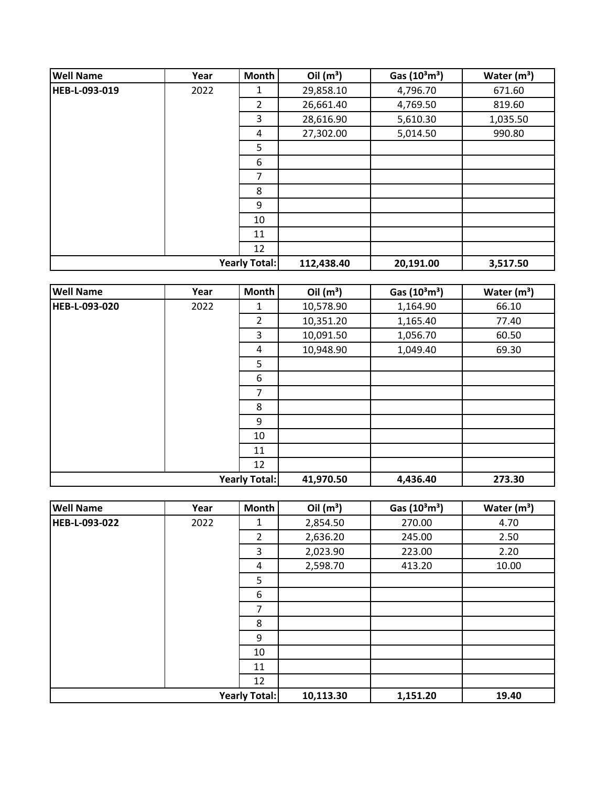| <b>Well Name</b> | Year | <b>Month</b>         | Oil $(m^3)$ | Gas $(10^3 \text{m}^3)$ | Water $(m^3)$ |
|------------------|------|----------------------|-------------|-------------------------|---------------|
| HEB-L-093-019    | 2022 | 1                    | 29,858.10   | 4,796.70                | 671.60        |
|                  |      | $\overline{2}$       | 26,661.40   | 4,769.50                | 819.60        |
|                  |      | 3                    | 28,616.90   | 5,610.30                | 1,035.50      |
|                  |      | 4                    | 27,302.00   | 5,014.50                | 990.80        |
|                  |      | 5                    |             |                         |               |
|                  |      | 6                    |             |                         |               |
|                  |      | 7                    |             |                         |               |
|                  |      | 8                    |             |                         |               |
|                  |      | 9                    |             |                         |               |
|                  |      | 10                   |             |                         |               |
|                  |      | 11                   |             |                         |               |
|                  |      | 12                   |             |                         |               |
|                  |      | <b>Yearly Total:</b> | 112,438.40  | 20,191.00               | 3,517.50      |

| <b>Well Name</b>     | Year | Month     | Oil $(m^3)$ | Gas $(10^3 \text{m}^3)$ | Water $(m^3)$ |
|----------------------|------|-----------|-------------|-------------------------|---------------|
| <b>HEB-L-093-020</b> | 2022 | 1         | 10,578.90   | 1,164.90                | 66.10         |
|                      |      | 2         | 10,351.20   | 1,165.40                | 77.40         |
|                      |      | 3         | 10,091.50   | 1,056.70                | 60.50         |
|                      |      | 4         | 10,948.90   | 1,049.40                | 69.30         |
|                      |      | 5         |             |                         |               |
|                      |      | 6         |             |                         |               |
|                      |      | 7         |             |                         |               |
|                      |      | 8         |             |                         |               |
|                      |      | 9         |             |                         |               |
|                      |      | 10        |             |                         |               |
|                      |      | 11        |             |                         |               |
|                      |      | 12        |             |                         |               |
| <b>Yearly Total:</b> |      | 41,970.50 | 4,436.40    | 273.30                  |               |

| <b>Well Name</b>     | Year | Month          | Oil $(m^3)$ | Gas $(10^3 \text{m}^3)$ | Water $(m^3)$ |
|----------------------|------|----------------|-------------|-------------------------|---------------|
| HEB-L-093-022        | 2022 | 1              | 2,854.50    | 270.00                  | 4.70          |
|                      |      | $\overline{2}$ | 2,636.20    | 245.00                  | 2.50          |
|                      |      | 3              | 2,023.90    | 223.00                  | 2.20          |
|                      |      | 4              | 2,598.70    | 413.20                  | 10.00         |
|                      |      | 5              |             |                         |               |
|                      |      | 6              |             |                         |               |
|                      |      | 7              |             |                         |               |
|                      |      | 8              |             |                         |               |
|                      |      | 9              |             |                         |               |
|                      |      | 10             |             |                         |               |
|                      |      | 11             |             |                         |               |
|                      |      | 12             |             |                         |               |
| <b>Yearly Total:</b> |      | 10,113.30      | 1,151.20    | 19.40                   |               |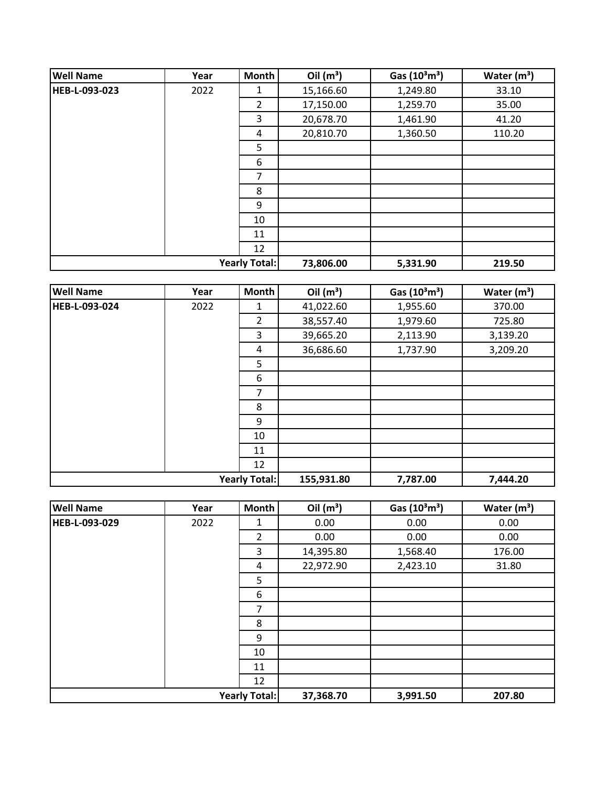| <b>Well Name</b> | Year                 | <b>Month</b> | Oil $(m^3)$ | Gas $(10^3 \text{m}^3)$ | Water $(m^3)$ |
|------------------|----------------------|--------------|-------------|-------------------------|---------------|
| HEB-L-093-023    | 2022                 | 1            | 15,166.60   | 1,249.80                | 33.10         |
|                  |                      | 2            | 17,150.00   | 1,259.70                | 35.00         |
|                  |                      | 3            | 20,678.70   | 1,461.90                | 41.20         |
|                  |                      | 4            | 20,810.70   | 1,360.50                | 110.20        |
|                  |                      | 5            |             |                         |               |
|                  |                      | 6            |             |                         |               |
|                  |                      | 7            |             |                         |               |
|                  |                      | 8            |             |                         |               |
|                  |                      | 9            |             |                         |               |
|                  |                      | 10           |             |                         |               |
|                  |                      | 11           |             |                         |               |
|                  |                      | 12           |             |                         |               |
|                  | <b>Yearly Total:</b> |              | 73,806.00   | 5,331.90                | 219.50        |

| <b>Well Name</b>     | Year | Month      | Oil $(m^3)$ | Gas $(10^3 \text{m}^3)$ | Water $(m^3)$ |
|----------------------|------|------------|-------------|-------------------------|---------------|
| HEB-L-093-024        | 2022 | 1          | 41,022.60   | 1,955.60                | 370.00        |
|                      |      | 2          | 38,557.40   | 1,979.60                | 725.80        |
|                      |      | 3          | 39,665.20   | 2,113.90                | 3,139.20      |
|                      |      | 4          | 36,686.60   | 1,737.90                | 3,209.20      |
|                      |      | 5          |             |                         |               |
|                      |      | 6          |             |                         |               |
|                      |      | 7          |             |                         |               |
|                      |      | 8          |             |                         |               |
|                      |      | 9          |             |                         |               |
|                      |      | 10         |             |                         |               |
|                      |      | 11         |             |                         |               |
|                      |      | 12         |             |                         |               |
| <b>Yearly Total:</b> |      | 155,931.80 | 7,787.00    | 7,444.20                |               |

| <b>Well Name</b>     | Year | Month          | Oil $(m^3)$ | Gas $(10^3 \text{m}^3)$ | Water $(m^3)$ |
|----------------------|------|----------------|-------------|-------------------------|---------------|
| HEB-L-093-029        | 2022 | 1              | 0.00        | 0.00                    | 0.00          |
|                      |      | $\overline{2}$ | 0.00        | 0.00                    | 0.00          |
|                      |      | 3              | 14,395.80   | 1,568.40                | 176.00        |
|                      |      | 4              | 22,972.90   | 2,423.10                | 31.80         |
|                      |      | 5              |             |                         |               |
|                      |      | 6              |             |                         |               |
|                      |      | 7              |             |                         |               |
|                      |      | 8              |             |                         |               |
|                      |      | 9              |             |                         |               |
|                      |      | 10             |             |                         |               |
|                      |      | 11             |             |                         |               |
|                      |      | 12             |             |                         |               |
| <b>Yearly Total:</b> |      | 37,368.70      | 3,991.50    | 207.80                  |               |